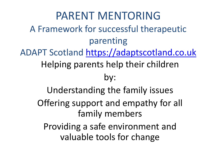PARENT MENTORING A Framework for successful therapeutic parenting ADAPT Scotland [https://adaptscotland.co.uk](https://adaptscotland.co.uk/) Helping parents help their children by: Understanding the family issues Offering support and empathy for all family members Providing a safe environment and valuable tools for change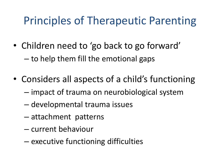### Principles of Therapeutic Parenting

- Children need to 'go back to go forward' – to help them fill the emotional gaps
- Considers all aspects of a child's functioning
	- impact of trauma on neurobiological system
	- developmental trauma issues
	- attachment patterns
	- current behaviour
	- executive functioning difficulties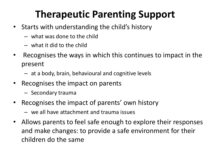### **Therapeutic Parenting Support**

- Starts with understanding the child's history
	- what was done to the child
	- what it did to the child
- Recognises the ways in which this continues to impact in the present
	- at a body, brain, behavioural and cognitive levels
- Recognises the impact on parents
	- Secondary trauma
- Recognises the impact of parents' own history
	- we all have attachment and trauma issues
- Allows parents to feel safe enough to explore their responses and make changes: to provide a safe environment for their children do the same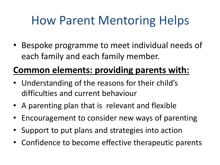# How Parent Mentoring Helps

• Bespoke programme to meet individual needs of each family and each family member.

### **Common elements: providing parents with:**

- Understanding of the reasons for their child's difficulties and current behaviour
- A parenting plan that is relevant and flexible
- Encouragement to consider new ways of parenting
- Support to put plans and strategies into action
- Confidence to become effective therapeutic parents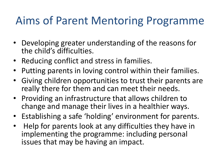### Aims of Parent Mentoring Programme

- Developing greater understanding of the reasons for the child's difficulties.
- Reducing conflict and stress in families.
- Putting parents in loving control within their families.
- Giving children opportunities to trust their parents are really there for them and can meet their needs.
- Providing an infrastructure that allows children to change and manage their lives in a healthier ways.
- Establishing a safe 'holding' environment for parents.
- Help for parents look at any difficulties they have in implementing the programme: including personal issues that may be having an impact.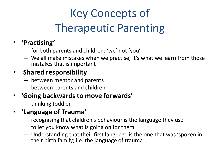# Key Concepts of Therapeutic Parenting

#### • **'Practising'**

- for both parents and children: 'we' not 'you'
- We all make mistakes when we practise, it's what we learn from those mistakes that is important

#### • **Shared responsibility**

- between mentor and parents
- between parents and children

#### • **'Going backwards to move forwards'**

– thinking toddler

#### • **'Language of Trauma'**

- recognising that children's behaviour is the language they use to let you know what is going on for them
- Understanding that their first language is the one that was 'spoken in their birth family; i.e. the language of trauma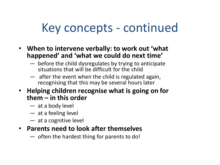## Key concepts - continued

- **When to intervene verbally: to work out 'what happened' and 'what we could do next time'**
	- before the child dysregulates by trying to anticipate situations that will be difficult for the child
	- $-$  after the event when the child is regulated again, recognising that this may be several hours later
- **Helping children recognise what is going on for them – in this order**
	- at a body level
	- at a feeling level
	- at a cognitive level
- **Parents need to look after themselves**
	- often the hardest thing for parents to do!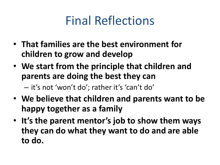## Final Reflections

- **That families are the best environment for children to grow and develop**
- **We start from the principle that children and parents are doing the best they can**

– it's not 'won't do'; rather it's 'can't do'

- **We believe that children and parents want to be happy together as a family**
- **It's the parent mentor's job to show them ways they can do what they want to do and are able to do.**